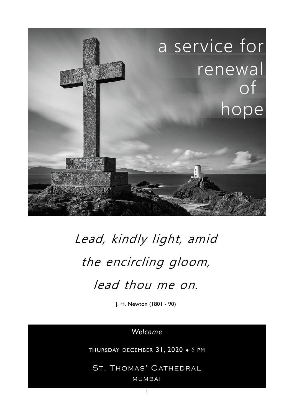

# Lead, kindly light, amid the encircling gloom, lead thou me on.

J. H. Newton (1801 - 90)

## *Welcome*

THURSDAY DECEMBER 31, 2020 ● 6 PM

ST. THOMAS' CATHEDRAL M U M BA I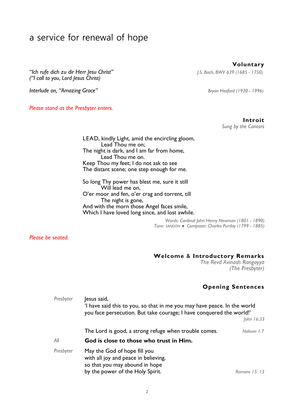## a service for renewal of hope

*"Ich rufe dich zu dir Herr Jesu Christ" J.S. Bach, BWV 639 (1685 - 1750) ("I call to you, Lord Jesus Christ)* 

**Interlude on, "Amazing Grace"** *Bryan Hesford (1930 - 1996) Bryan Hesford (1930 - 1996)* 

*Please stand as the Presbyter enters.* 

**Voluntary** 

**Introit**  *Sung by the Cantors* 

LEAD, kindly Light, amid the encircling gloom, Lead Thou me on; The night is dark, and I am far from home, Lead Thou me on. Keep Thou my feet; I do not ask to see The distant scene; one step enough for me.

So long Thy power has blest me, sure it still Will lead me on, O'er moor and fen, o'er crag and torrent, till The night is gone, And with the morn those Angel faces smile, Which I have loved long since, and lost awhile.

> *Words: Cardinal John Henry Newman (1801 - 1890) Tune: SANDON ● Composer: Charles Purday (1799 - 1885)*

*Please be seated.* 

#### **Welcome** & **Introductory Remarks**

*The Revd Avinash Rangayya (The Presbyter)* 

#### **Opening Sentences**

| Presbyter | lesus said,<br>'I have said this to you, so that in me you may have peace. In the world<br>you face persecution. But take courage; I have conquered the world!' |                |
|-----------|-----------------------------------------------------------------------------------------------------------------------------------------------------------------|----------------|
|           |                                                                                                                                                                 | John $16.33$   |
|           | The Lord is good, a strong refuge when trouble comes.                                                                                                           | Nahum 1.7      |
| All       | God is close to those who trust in Him.                                                                                                                         |                |
| Presbyter | May the God of hope fill you<br>with all joy and peace in believing,<br>so that you may abound in hope<br>by the power of the Holy Spirit.                      | Romans $15:13$ |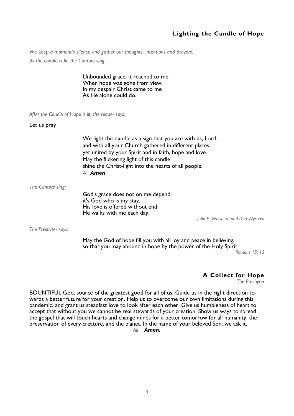#### **Lighting the Candle of Hope**

*We keep a moment's silence and gather our thoughts, intentions and prayers.* 

*As the candle is lit, the Cantors sing:* 

Unbounded grace, it reached to me, When hope was gone from view. In my despair Christ came to me As He alone could do.

*After the Candle of Hope is lit, the reader says:* 

Let us pray

We light this candle as a sign that you are with us, Lord, and with all your Church gathered in different places yet united by your Spirit and in faith, hope and love. May the flickering light of this candle shine the Christ-light into the hearts of all people. All *Amen* 

*The Cantors sing:* 

God's grace does not on me depend, it's God who is my stay. His love is offered without end. He walks with me each day.

*John E. Walvoord and Don Wyrtzen* 

*The Presbyter says:* 

May the God of hope fill you with all joy and peace in believing, so that you may abound in hope by the power of the Holy Spirit.

*Romans 15: 13* 

#### **A Collect for Hope**

*The Presbyter* 

BOUNTIFUL God, source of the greatest good for all of us: Guide us in the right direction towards a better future for your creation. Help us to overcome our own limitations during this pandemic, and grant us steadfast love to look after each other. Give us humbleness of heart to accept that without you we cannot be real stewards of your creation. Show us ways to spread the gospel that will touch hearts and change minds for a better tomorrow for all humanity, the preservation of every creature, and the planet. In the name of your beloved Son, we ask it.

*All Amen.*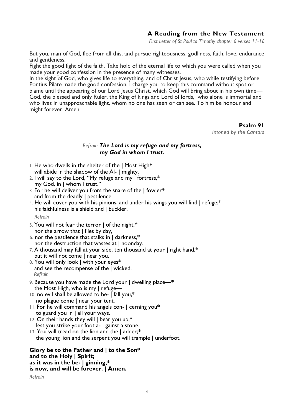#### **A Reading from the New Testament**

*First Letter of St Paul to Timothy chapter 6 verses 11-16*

But you, man of God, flee from all this, and pursue righteousness, godliness, faith, love, endurance and gentleness.

Fight the good fight of the faith. Take hold of the eternal life to which you were called when you made your good confession in the presence of many witnesses.

In the sight of God, who gives life to everything, and of Christ Jesus, who while testifying before Pontius Pilate made the good confession, I charge you to keep this command without spot or blame until the appearing of our Lord Jesus Christ, which God will bring about in his own time— God, the blessed and only Ruler, the King of kings and Lord of lords, who alone is immortal and who lives in unapproachable light, whom no one has seen or can see. To him be honour and might forever. Amen.

**Psalm 91** 

*Intoned by the Cantors* 

#### *Refrain The Lord is my refuge and my fortress, my God in whom I trust.*

- 1. He who dwells in the shelter of the **|** Most High**\***  will abide in the shadow of the Al- **|** mighty.
- 2. I will say to the Lord, "My refuge and my | fortress,\* my God, in | whom I trust."
- 3. For he will deliver you from the snare of the **|** fowler**\***  and from the deadly **|** pestilence.
- 4. He will cover you with his pinions, and under his wings you will find | refuge;\* his faithfulness is a shield and | buckler.

 *Refrain* 

- 5. You will not fear the terror **|** of the night,**\***  nor the arrow that **|** flies by day,
- 6. nor the pestilence that stalks in  $\vert$  darkness,\* nor the destruction that wastes at  $|$  noonday.
- 7. A thousand may fall at your side, ten thousand at your **|** right hand,**\***  but it will not come **|** near you.
- 8. You will only look | with your eyes\* and see the recompense of the | wicked. *Refrain*
- 9. Because you have made the Lord your **|** dwelling place—**\***  the Most High, who is my **|** refuge—
- 10. no evil shall be allowed to be- | fall you,\* no plague come | near your tent.
- 11. For he will command his angels con- **|** cerning you**\***  to guard you in **|** all your ways.
- 12. On their hands they will | bear you up,\* lest you strike your foot a- | gainst a stone.
- 13. You will tread on the lion and the **|** adder;**\***  the young lion and the serpent you will trample **|** underfoot.

**Glory be to the Father and | to the Son\* and to the Holy | Spirit; as it was in the be- | ginning,\* is now, and will be forever. | Amen.** 

*Refrain*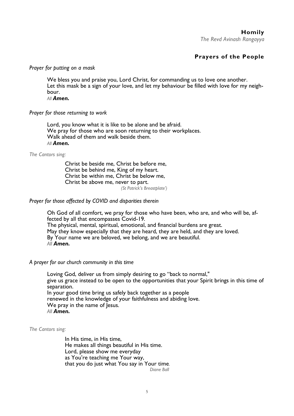**Homily**  *The Revd Avinash Rangayya* 

#### **Prayers of the People**

#### *Prayer for putting on a mask*

We bless you and praise you, Lord Christ, for commanding us to love one another. Let this mask be a sign of your love, and let my behaviour be filled with love for my neighbour.

*All Amen.*

#### *Prayer for those returning to work*

Lord, you know what it is like to be alone and be afraid. We pray for those who are soon returning to their workplaces. Walk ahead of them and walk beside them. *All Amen.*

#### *The Cantors sing:*

Christ be beside me, Christ be before me, Christ be behind me, King of my heart. Christ be within me, Christ be below me, Christ be above me, never to part. *(St Patrick's Breastplate')*

#### *Prayer for those affected by COVID and disparities therein*

Oh God of all comfort, we pray for those who have been, who are, and who will be, affected by all that encompasses Covid-19. The physical, mental, spiritual, emotional, and financial burdens are great. May they know especially that they are heard, they are held, and they are loved. By Your name we are beloved, we belong, and we are beautiful. *All Amen.* 

#### *A prayer for our church community in this time*

Loving God, deliver us from simply desiring to go "back to normal," give us grace instead to be open to the opportunities that your Spirit brings in this time of separation. In your good time bring us safely back together as a people renewed in the knowledge of your faithfulness and abiding love. We pray in the name of Jesus. *All Amen.* 

*The Cantors sing:* 

In His time, in His time, He makes all things beautiful in His time. Lord, please show me everyday as You're teaching me Your way, that you do just what You say in Your time.  *Diane Ball*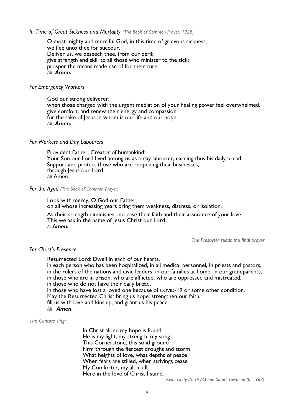*In Time of Great Sickness and Mortality (The Book of Common Prayer, 1928)* 

O most mighty and merciful God, in this time of grievous sickness, we flee unto thee for succour. Deliver us, we beseech thee, from our peril; give strength and skill to all those who minister to the sick; prosper the means made use of for their cure. *All Amen.* 

#### *For Emergency Workers*

God our strong deliverer: when those charged with the urgent mediation of your healing power feel overwhelmed, give comfort, and renew their energy and compassion, for the sake of lesus in whom is our life and our hope. *All Amen.* 

#### *For Workers and Day Labourers*

Provident Father, Creator of humankind: Your Son our Lord lived among us as a day labourer, earning thus his daily bread. Support and protect those who are reopening their businesses, through Jesus our Lord. *All* Amen.

*For the Aged (The Book of Common Prayer)* 

Look with mercy, O God our Father, on all whose increasing years bring them weakness, distress, or isolation.

 As their strength diminishes, increase their faith and their assurance of your love. This we ask in the name of Jesus Christ our Lord. *All Amen.* 

*The Presbyter reads the final prayer* 

#### *For Christ's Presence*

Resurrected Lord: Dwell in each of our hearts,

in each person who has been hospitalized, in all medical personnel, in priests and pastors, in the rulers of the nations and civic leaders, in our families at home, in our grandparents, in those who are in prison, who are afflicted, who are oppressed and mistreated, in those who do not have their daily bread,

in those who have lost a loved one because of COVID-19 or some other condition. May the Resurrected Christ bring us hope, strengthen our faith,

fill us with love and kinship, and grant us his peace.

*All Amen.* 

*The Cantors sing:* 

In Christ alone my hope is found He is my light, my strength, my song This Cornerstone, this solid ground Firm through the fiercest drought and storm What heights of love, what depths of peace When fears are stilled, when strivings cease My Comforter, my all in all Here in the love of Christ I stand.

*Keith Getty (b. 1974) and Stuart Townend (b. 1963)*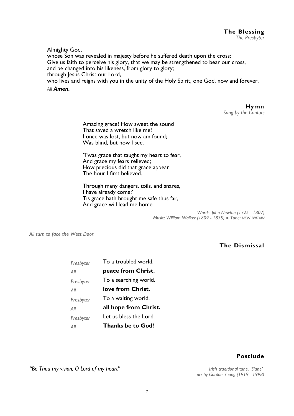Almighty God,

whose Son was revealed in majesty before he suffered death upon the cross: Give us faith to perceive his glory, that we may be strengthened to bear our cross, and be changed into his likeness, from glory to glory; through Jesus Christ our Lord, who lives and reigns with you in the unity of the Holy Spirit, one God, now and forever.

 *All Amen.* 

**Hymn**  *Sung by the Cantors* 

Amazing grace! How sweet the sound That saved a wretch like me! I once was lost, but now am found; Was blind, but now I see.

'Twas grace that taught my heart to fear, And grace my fears relieved; How precious did that grace appear The hour I first believed.

Through many dangers, toils, and snares, I have already come;' Tis grace hath brought me safe thus far, And grace will lead me home.

> *Words: John Newton (1725 - 1807) Music: William Walker (1809 - 1875) ● Tune: NEW BRITAIN*

*All turn to face the West Door.* 

#### **The Dismissal**

| Presbyter | To a troubled world,   |  |
|-----------|------------------------|--|
| All       | peace from Christ.     |  |
| Presbyter | To a searching world,  |  |
| All       | love from Christ.      |  |
| Presbyter | To a waiting world,    |  |
| All       | all hope from Christ.  |  |
| Presbyter | Let us bless the Lord. |  |
| All       | Thanks be to God!      |  |

#### **Postlude**

 *arr by Gordon Young (1919 - 1998)* 

*"Be Thou my vision, O Lord of my heart" Irish traditional tune, 'Slane'*